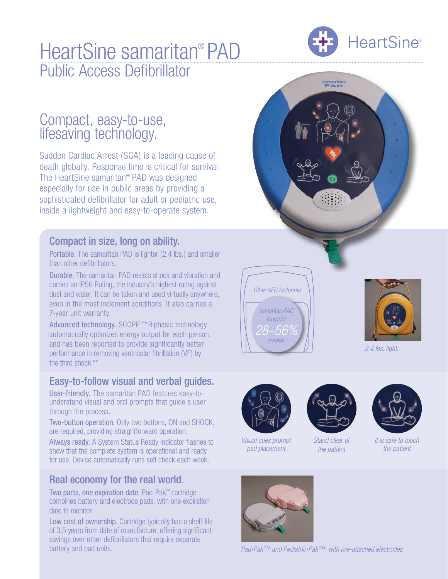# HeartSine samaritan® PAD Public Access Defibrillator



## Compact, easy-to-use, lifesaving technology.

Sudden Cardiac Arrest (SCA) is a leading cause of death globally. Response time is critical for survival. The HeartSine samaritan® PAD was designed especially for use in public areas by providing a sophisticated defibrillator for adult or pediatric use, inside a lightweight and easy-to-operate system.

### Compact in size, long on ability.

Portable. The samaritan PAD is lighter (2.4 lbs.) and smaller than other defibrillators.

Durable. The samaritan PAD resists shock and vibration and carries an IP56 Rating, the industry's highest rating against dust and water. It can be taken and used virtually anywhere, even in the most inclement conditions. It also carries a 7-year unit warranty.

Advanced technology. SCOPE™\* Biphasic technology automatically optimizes energy output for each person, and has been reported to provide significantly better performance in removing ventricular fibrillation (VF) by the third shock.\*\*

### Easy-to-follow visual and verbal guides.

User-friendly. The samaritan PAD features easy-tounderstand visual and oral prompts that guide a user through the process.

Two-button operation. Only two buttons, ON and SHOCK, are required, providing straightforward operation.

Always ready. A System Status Ready Indicator flashes to show that the complete system is operational and ready for use. Device automatically runs self check each week.

## Real economy for the real world.

Two parts, one expiration date. Pad-Pak™ cartridge combines battery and electrode pads, with one expiration date to monitor.

Low cost of ownership. Cartridge typically has a shelf-life of 3.5 years from date of manufacture, offering significant savings over other defibrillators that require separate battery and pad units. *Pad-Pak™ and Pediatric-Pak™, with pre-attached electrodes*



samaritan





*2.4 lbs. light.*



*Visual cues prompt pad placement*



*Stand clear of the patient*



*It is safe to touch the patient*